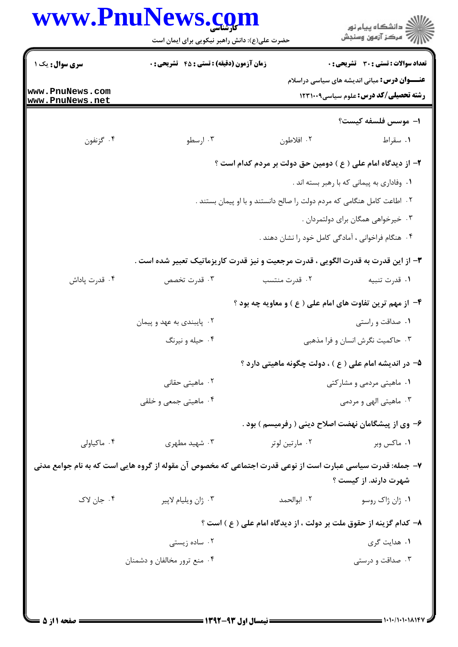|                                                              | حضرت علی(ع): دانش راهبر نیکویی برای ایمان است                                                              |                | ڪ دانشڪاه پيام نور<br>/7 مرڪز آزمون وسنڊش                                                                                                            |
|--------------------------------------------------------------|------------------------------------------------------------------------------------------------------------|----------------|------------------------------------------------------------------------------------------------------------------------------------------------------|
| <b>سری سوال :</b> یک ۱<br>www.PnuNews.com<br>www.PnuNews.net | زمان آزمون (دقیقه) : تستی : 45 گتشریحی : 0                                                                 |                | <b>تعداد سوالات : تستی : 30 ٪ تشریحی : 0</b><br><b>عنــــوان درس:</b> مبانی اندیشه های سیاسی دراسلام<br><b>رشته تحصیلی/کد درس:</b> علوم سیاسی1۲۳۱۰۰۹ |
|                                                              |                                                                                                            |                | 1- موسس فلسفه كيست؟                                                                                                                                  |
| ۰۴ گزنفون                                                    | ۰۳ ارسطو                                                                                                   | ۰۲ افلاطون     | ۰۱ سقراط                                                                                                                                             |
|                                                              |                                                                                                            |                | ۲- از دیدگاه امام علی ( ع ) دومین حق دولت بر مردم کدام است ؟                                                                                         |
|                                                              |                                                                                                            |                | ۰۱ وفاداری به پیمانی که با رهبر بسته اند .                                                                                                           |
|                                                              |                                                                                                            |                | ۰۲ اطاعت کامل هنگامی که مردم دولت را صالح دانستند و با او پیمان بستند .                                                                              |
|                                                              |                                                                                                            |                | ۰۳ خیرخواهی همگان برای دولتمردان .                                                                                                                   |
|                                                              |                                                                                                            |                | ۰۴ هنگام فراخوانی ، آمادگی کامل خود را نشان دهند .                                                                                                   |
|                                                              | ۳- از این قدرت به قدرت الگویی ، قدرت مرجعیت و نیز قدرت کاریزماتیک تعبیر شده است .                          |                |                                                                                                                                                      |
| ۰۴ قدرت پاداش                                                | ۰۳ قدرت تخصص                                                                                               | ۰۲ قدرت منتسب  | ٠١. قدرت تنبيه                                                                                                                                       |
|                                                              |                                                                                                            |                | ۴- از مهم ترین تفاوت های امام علی ( ع ) و معاویه چه بود ؟                                                                                            |
|                                                              | ۰۲ پایبندی به عهد و پیمان                                                                                  |                | ٠١ صداقت و راستي                                                                                                                                     |
|                                                              | ۰۴ حیله و نیرنگ                                                                                            |                | ۰۳ حاکمیت نگرش انسان و فرا مذهبی                                                                                                                     |
|                                                              |                                                                                                            |                | ۵– در اندیشه امام علی ( ع ) ، دولت چگونه ماهیتی دارد ؟                                                                                               |
|                                                              | ۰۲ ماهیتی حقانی                                                                                            |                | ۰۱ ماهیتی مردمی و مشارکتی                                                                                                                            |
|                                                              | ۰۴ ماهیتی جمعی و خلقی                                                                                      |                | ۰۳ ماهیتی الهی و مردمی                                                                                                                               |
|                                                              |                                                                                                            |                | ۶– وی از پیشگامان نهضت اصلاح دینی ( رفرمیسم ) بود .                                                                                                  |
| ۰۴ ماکیاولی                                                  | ۰۳ شهید مطهری                                                                                              | ۰۲ مارتین لوتر | ۰۱ ماکس وبر                                                                                                                                          |
|                                                              | ۷– جمله: قدرت سیاسی عبارت است از نوعی قدرت اجتماعی که مخصوص آن مقوله از گروه هایی است که به نام جوامع مدنی |                | شهرت دارند. از کیست ؟                                                                                                                                |
| ۰۴ جان لاک                                                   | ۰۳ ژان ويليام لاپير                                                                                        | ۰۲ ابوالحمد    | ٠١ ژان ژاک روسو                                                                                                                                      |
|                                                              |                                                                                                            |                | ۸– کدام گزینه از حقوق ملت بر دولت ، از دیدگاه امام علی ( ع ) است ؟                                                                                   |
|                                                              | ۰۲ ساده زیستی                                                                                              |                | ۰۱ هدایت گری                                                                                                                                         |
|                                                              | ۰۴ منع ترور مخالفان و دشمنان                                                                               |                | ۰۳ صداقت و درستی                                                                                                                                     |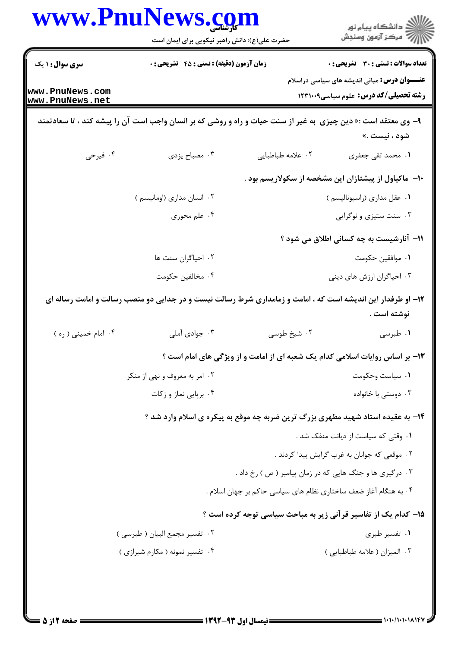|                                    | www.PnuNews.com<br>حضرت علی(ع): دانش راهبر نیکویی برای ایمان است                                               |                                                                  | ڪ دانشڪاه پيا <sub>م</sub> نور<br>∕ <sup>7</sup> مرڪز آزمون وسنڊش                                   |
|------------------------------------|----------------------------------------------------------------------------------------------------------------|------------------------------------------------------------------|-----------------------------------------------------------------------------------------------------|
|                                    |                                                                                                                |                                                                  |                                                                                                     |
| <b>سری سوال : ۱ یک</b>             | <b>زمان آزمون (دقیقه) : تستی : 45 گشریحی : 0</b>                                                               |                                                                  | تعداد سوالات : تستى : 30 ٪ تشريحي : 0                                                               |
| www.PnuNews.com<br>www.PnuNews.net |                                                                                                                |                                                                  | <b>عنـــوان درس:</b> مبانی اندیشه های سیاسی دراسلام<br><b>رشته تحصیلی/کد درس:</b> علوم سیاسی1۲۳۱۰۰۹ |
|                                    | ۹- وی معتقد است :« دین چیزی  به غیر از سنت حیات و راه و روشی که بر انسان واجب است آن را پیشه کند ، تا سعادتمند |                                                                  | شود ، نيست .»                                                                                       |
| ۰۴ فیرحی                           | ۰۳ مصباح یزدی                                                                                                  | ٢. علامه طباطبايي                                                | ۰۱ محمد تقی جعفری                                                                                   |
|                                    |                                                                                                                |                                                                  | ∙۱- ماکیاول از پیشتازان این مشخصه از سکولاریسم بود .                                                |
|                                    | ۰۲ انسان مداری (اومانیسم )                                                                                     |                                                                  | ٠١ عقل مدارى (راسيوناليسم)                                                                          |
|                                    | ۰۴ علم محوری                                                                                                   |                                                                  | ۰۳ سنت ستیزی و نوگرایی                                                                              |
|                                    |                                                                                                                |                                                                  | ۱۱– آنارشیست به چه کسانی اطلاق می شود ؟                                                             |
|                                    | ۰۲ احیاگران سنت ها                                                                                             |                                                                  | ٠١. موافقين حكومت                                                                                   |
|                                    | ۰۴ مخالفين حكومت                                                                                               |                                                                  | ۰۳ احیاگران ارزش های دینی                                                                           |
|                                    | ۱۲- او طرفدار این اندیشه است که ، امامت و زمامداری شرط رسالت نیست و در جدایی دو منصب رسالت و امامت رساله ای    |                                                                  | نوشته است .                                                                                         |
| ۰۴ امام خميني ( ره )               | ۰۳ جوادي آملي                                                                                                  | ۰۲ شیخ طوسی                                                      | ۰۱ طبرسی                                                                                            |
|                                    |                                                                                                                |                                                                  | ۱۳- بر اساس روایات اسلامی کدام یک شعبه ای از امامت و از ویژگی های امام است ؟                        |
|                                    | ۰۲ امر به معروف و نهی از منکر                                                                                  |                                                                  | ۰۱ سیاست وحکومت                                                                                     |
|                                    | ۰۴ برپایی نماز و زکات                                                                                          |                                                                  | ۰۳ دوستی با خانواده                                                                                 |
|                                    |                                                                                                                |                                                                  | ۱۴- به عقیده استاد شهید مطهری بزرگ ترین ضربه چه موقع به پیکره ی اسلام وارد شد ؟                     |
|                                    |                                                                                                                |                                                                  | ۰۱ وقتی که سیاست از دیانت منفک شد .                                                                 |
|                                    |                                                                                                                |                                                                  | ۰۲ موقعی که جوانان به غرب گرایش پیدا کردند .                                                        |
|                                    |                                                                                                                | ۰۳ درگیری ها و جنگ هایی که در زمان پیامبر ( ص ) رخ داد .         |                                                                                                     |
|                                    |                                                                                                                | ۰۴ به هنگام آغاز ضعف ساختاری نظام های سیاسی حاکم بر جهان اسلام . |                                                                                                     |
|                                    |                                                                                                                |                                                                  | ۱۵– کدام یک از تفاسیر قرآنی زیر به مباحث سیاسی توجه کرده است ؟                                      |
|                                    | ۰۲ تفسیر مجمع البیان ( طبرسی )                                                                                 |                                                                  | ۰۱ تفسیر طبری                                                                                       |
|                                    | ۰۴ تفسیر نمونه ( مکارم شیرازی )                                                                                |                                                                  | ۰۳ الميزان ( علامه طباطبايي )                                                                       |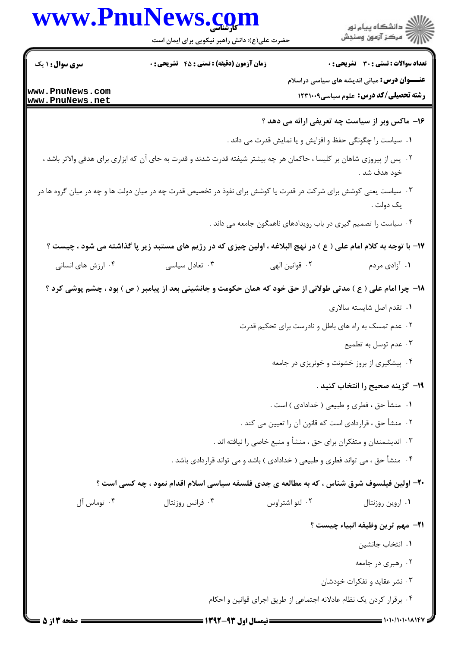|                                    | www.PnuNews.com<br>حضرت علی(ع): دانش راهبر نیکویی برای ایمان است                                                       |                                                                                                          | ڪ دانشڪاه پيام نور<br>//> مرڪز آزمون وسنڊش                          |
|------------------------------------|------------------------------------------------------------------------------------------------------------------------|----------------------------------------------------------------------------------------------------------|---------------------------------------------------------------------|
| <b>سری سوال : ۱ یک</b>             | <b>زمان آزمون (دقیقه) : تستی : 45 تشریحی : 0</b>                                                                       |                                                                                                          | <b>تعداد سوالات : تستی : 30 - تشریحی : 0</b>                        |
|                                    |                                                                                                                        |                                                                                                          | <b>عنـــوان درس:</b> مبانی اندیشه های سیاسی دراسلام                 |
| www.PnuNews.com<br>www.PnuNews.net |                                                                                                                        |                                                                                                          | رشته تحصیلی/کد درس: علوم سیاسی١٢٣١٠٠٩                               |
|                                    |                                                                                                                        |                                                                                                          | ۱۶– ماکس وبر از سیاست چه تعریفی ارائه می دهد ؟                      |
|                                    |                                                                                                                        | <b>۱</b> . سیاست را چگونگی حفظ و افزایش و یا نمایش قدرت می داند .                                        |                                                                     |
|                                    | ۰۲ پس از پیروزی شاهان بر کلیسا ، حاکمان هر چه بیشتر شیفته قدرت شدند و قدرت به جای آن که ابزاری برای هدفی والاتر باشد ، |                                                                                                          | خود هدف شد .                                                        |
|                                    | ۰۳ سیاست یعنی کوشش برای شرکت در قدرت یا کوشش برای نفوذ در تخصیص قدرت چه در میان دولت ها و چه در میان گروه ها در        |                                                                                                          | يک دولت .                                                           |
|                                    |                                                                                                                        | ۰۴ سیاست را تصمیم گیری در باب رویدادهای ناهمگون جامعه می داند .                                          |                                                                     |
|                                    | ۱۷- با توجه به کلام امام علی ( ع ) در نهج البلاغه ، اولین چیزی که در رژیم های مستبد زیر پا گذاشته می شود ، چیست ؟      |                                                                                                          |                                                                     |
| ۰۴ ارزش های انسانی                 | ۰۳ تعادل سیاسی                                                                                                         | ٠٢ قوانين الهي                                                                                           | ۰۱ آزادی مردم                                                       |
|                                    | ۱۸– چرا امام علی ( ع ) مدتی طولانی از حق خود که همان حکومت و جانشینی بعد از پیامبر ( ص ) بود ، چشم پوشی کرد ؟          |                                                                                                          |                                                                     |
|                                    |                                                                                                                        |                                                                                                          | ۰۱ تقدم اصل شایسته سالاری                                           |
|                                    |                                                                                                                        | ۰۲ عدم تمسک به راه های باطل و نادرست برای تحکیم قدرت                                                     |                                                                     |
|                                    |                                                                                                                        |                                                                                                          | ۰۳ عدم توسل به تطمیع<br>۰۴ پیشگیری از بروز خشونت و خونریزی در جامعه |
|                                    |                                                                                                                        |                                                                                                          |                                                                     |
|                                    |                                                                                                                        |                                                                                                          | ۱۹– گزینه صحیح را انتخاب کنید .                                     |
|                                    |                                                                                                                        | ١.   منشأ حق ، فطري و طبيعي ( خدادادي ) است .<br>۰۲ منشأ حق ، قراردادي است كه قانون آن را تعيين مي كند . |                                                                     |
|                                    |                                                                                                                        | ۰۳ اندیشمندان و متفکران برای حق ، منشأ و منبع خاصی را نیافته اند .                                       |                                                                     |
|                                    | ۰۴ منشأ حق ، می تواند فطری و طبیعی ( خدادادی ) باشد و می تواند قراردادی باشد .                                         |                                                                                                          |                                                                     |
|                                    |                                                                                                                        |                                                                                                          |                                                                     |
| ۰۴ توماس آل                        | +۲- اولین فیلسوف شرق شناس ، که به مطالعه ی جدی فلسفه سیاسی اسلام اقدام نمود ، چه کسی است ؟<br>۰۳ فرانس روزنتال         | ۰۲ لئو اشتراوس                                                                                           | ٠١ اروين روزنتال                                                    |
|                                    |                                                                                                                        |                                                                                                          |                                                                     |
|                                    |                                                                                                                        |                                                                                                          | <b>٢١</b> – مهم ترين وظيفه انبياء چيست ؟                            |
|                                    |                                                                                                                        |                                                                                                          | ٠١. انتخاب جانشين                                                   |
|                                    |                                                                                                                        |                                                                                                          | ۰۲ رهبري در جامعه<br>۰۳ نشر عقاید و تفکرات خودشان                   |
|                                    |                                                                                                                        | ۰۴ برقرار کردن یک نظام عادلانه اجتماعی از طریق اجرای قوانین و احکام                                      |                                                                     |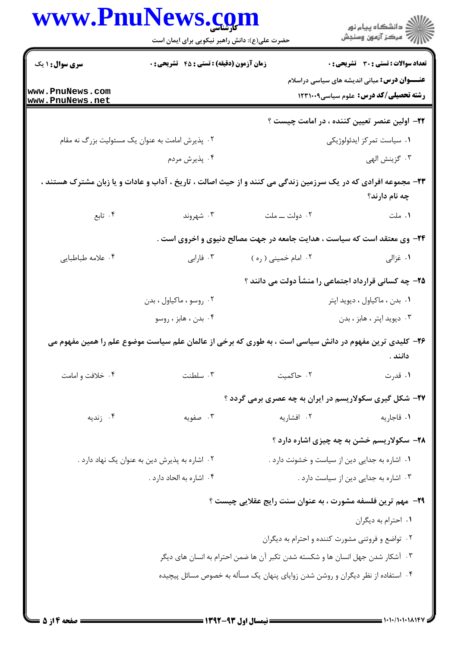|                                    | حضرت علی(ع): دانش راهبر نیکویی برای ایمان است   |                                                                                                               | ِ<br>∭ دانشڪاه پيام نور<br>∭ مرڪز آزمون وسنڊش        |
|------------------------------------|-------------------------------------------------|---------------------------------------------------------------------------------------------------------------|------------------------------------------------------|
| <b>سری سوال : ۱ یک</b>             | زمان آزمون (دقیقه) : تستی : ۴۵ قشریحی : 0       |                                                                                                               | تعداد سوالات : تستى : 30 ٪ تشريحي : 0                |
|                                    |                                                 |                                                                                                               | <b>عنــــوان درس:</b> مبانی اندیشه های سیاسی دراسلام |
| www.PnuNews.com<br>www.PnuNews.net |                                                 |                                                                                                               | رشته تحصیلی/کد درس: علوم سیاسی1۲۳۱۰۰۹                |
|                                    |                                                 |                                                                                                               | <b>۲۲</b> - اولین عنصر تعیین کننده ، در امامت چیست ؟ |
|                                    | ۰۲ پذیرش امامت به عنوان یک مسئولیت بزرگ نه مقام |                                                                                                               | ۰۱ سیاست تمرکز ایدئولوژیکی                           |
|                                    | ۰۴ پذيرش مردم                                   |                                                                                                               | ۰۳ گزينش الهي                                        |
|                                    |                                                 | ۲۳- مجموعه افرادی که در یک سرزمین زندگی می کنند و از حیث اصالت ، تاریخ ، آداب و عادات و یا زبان مشترک هستند ، |                                                      |
|                                    |                                                 |                                                                                                               | چه نام دارند؟                                        |
| ۰۴ تابع                            | ۰۳ شهروند                                       | ٠٢ دولت ـــ ملت                                                                                               | ۰۱ ملت                                               |
|                                    |                                                 | ۲۴- وی معتقد است که سیاست ، هدایت جامعه در جهت مصالح دنیوی و اخروی است .                                      |                                                      |
| ۰۴ علامه طباطبايي                  | ۰۳ فارابی                                       | ۰۲ امام خمینی ( ره )                                                                                          | ۰۱ غزالی                                             |
|                                    |                                                 |                                                                                                               | ۲۵- چه کسانی قرارداد اجتماعی را منشأ دولت می دانند ؟ |
|                                    | ۰۲ روسو ، ماکياول ، بدن                         |                                                                                                               | ٠١ بدن ، ماكياول ، ديويد اپتر                        |
|                                    | ۰۴ بدن ، هابز ، روسو                            |                                                                                                               | ۰۳ ديويد اپتر ، هابز ، بدن                           |
|                                    |                                                 | ۲۶– کلیدی ترین مفهوم در دانش سیاسی است ، به طوری که برخی از عالمان علم سیاست موضوع علم را همین مفهوم می       | دانند .                                              |
| ۰۴ خلافت و امامت                   | ۰۳ سلطنت                                        | ۰۲ حاكميت                                                                                                     | ۰۱ قدرت                                              |
|                                    |                                                 | ۲۷- شکل گیری سکولاریسم در ایران به چه عصری برمی گردد ؟                                                        |                                                      |
| ۰۴ زندیه                           | ۰۳ صفویه                                        | ۰۲ افشاریه                                                                                                    | ۰۱ قاجاريه                                           |
|                                    |                                                 |                                                                                                               | ۲۸- سکولاریسم خشن به چه چیزی اشاره دارد ؟            |
|                                    | ۰۲ اشاره به پذیرش دین به عنوان یک نهاد دارد .   |                                                                                                               | ٠١ اشاره به جدايي دين از سياست و خشونت دارد .        |
|                                    | ۰۴ اشاره به الحاد دارد .                        |                                                                                                               | ٠٣ اشاره به جدايي دين از سياست دارد.                 |
|                                    |                                                 | <b>۲۹</b> - مهم ترین فلسفه مشورت ، به عنوان سنت رایج عقلایی چیست ؟                                            |                                                      |
|                                    |                                                 |                                                                                                               | ٠١ احترام به ديگران                                  |
|                                    |                                                 |                                                                                                               | ۰۲ تواضع و فروتنی مشورت کننده و احترام به دیگران     |
|                                    |                                                 | ۰۳ آشکار شدن جهل انسان ها و شکسته شدن تکبر آن ها ضمن احترام به انسان های دیگر                                 |                                                      |
|                                    |                                                 | ۰۴ استفاده از نظر دیگران و روشن شدن زوایای پنهان یک مسأله به خصوص مسائل پیچیده                                |                                                      |